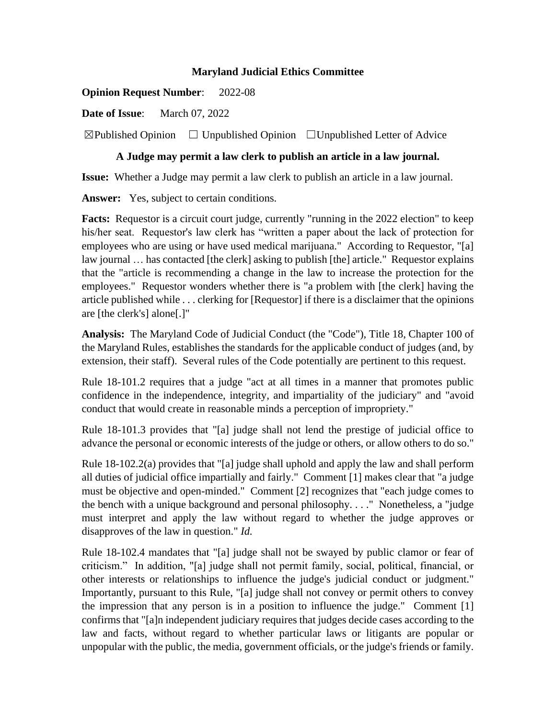## **Maryland Judicial Ethics Committee**

**Opinion Request Number**: 2022-08

**Date of Issue**: March 07, 2022

 $\boxtimes$ Published Opinion  $\Box$  Unpublished Opinion  $\Box$  Unpublished Letter of Advice

## **A Judge may permit a law clerk to publish an article in a law journal.**

**Issue:** Whether a Judge may permit a law clerk to publish an article in a law journal.

**Answer:** Yes, subject to certain conditions.

**Facts:** Requestor is a circuit court judge, currently "running in the 2022 election" to keep his/her seat. Requestor's law clerk has "written a paper about the lack of protection for employees who are using or have used medical marijuana." According to Requestor, "[a] law journal ... has contacted [the clerk] asking to publish [the] article." Requestor explains that the "article is recommending a change in the law to increase the protection for the employees." Requestor wonders whether there is "a problem with [the clerk] having the article published while . . . clerking for [Requestor] if there is a disclaimer that the opinions are [the clerk's] alone[.]"

**Analysis:** The Maryland Code of Judicial Conduct (the "Code"), Title 18, Chapter 100 of the Maryland Rules, establishes the standards for the applicable conduct of judges (and, by extension, their staff). Several rules of the Code potentially are pertinent to this request.

Rule 18-101.2 requires that a judge "act at all times in a manner that promotes public confidence in the independence, integrity, and impartiality of the judiciary" and "avoid conduct that would create in reasonable minds a perception of impropriety."

Rule 18-101.3 provides that "[a] judge shall not lend the prestige of judicial office to advance the personal or economic interests of the judge or others, or allow others to do so."

Rule 18-102.2(a) provides that "[a] judge shall uphold and apply the law and shall perform all duties of judicial office impartially and fairly." Comment [1] makes clear that "a judge must be objective and open-minded." Comment [2] recognizes that "each judge comes to the bench with a unique background and personal philosophy. . . ." Nonetheless, a "judge must interpret and apply the law without regard to whether the judge approves or disapproves of the law in question." *Id.*

Rule 18-102.4 mandates that "[a] judge shall not be swayed by public clamor or fear of criticism." In addition, "[a] judge shall not permit family, social, political, financial, or other interests or relationships to influence the judge's judicial conduct or judgment." Importantly, pursuant to this Rule, "[a] judge shall not convey or permit others to convey the impression that any person is in a position to influence the judge." Comment [1] confirms that "[a]n independent judiciary requires that judges decide cases according to the law and facts, without regard to whether particular laws or litigants are popular or unpopular with the public, the media, government officials, or the judge's friends or family.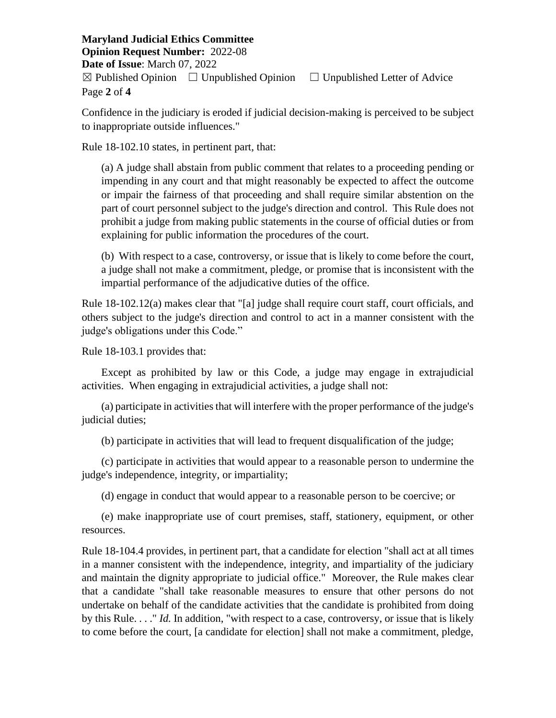**Maryland Judicial Ethics Committee Opinion Request Number:** 2022-08 **Date of Issue**: March 07, 2022  $\boxtimes$  Published Opinion  $\Box$  Unpublished Opinion  $\Box$  Unpublished Letter of Advice Page **2** of **4**

Confidence in the judiciary is eroded if judicial decision-making is perceived to be subject to inappropriate outside influences."

Rule 18-102.10 states, in pertinent part, that:

(a) A judge shall abstain from public comment that relates to a proceeding pending or impending in any court and that might reasonably be expected to affect the outcome or impair the fairness of that proceeding and shall require similar abstention on the part of court personnel subject to the judge's direction and control. This Rule does not prohibit a judge from making public statements in the course of official duties or from explaining for public information the procedures of the court.

(b) With respect to a case, controversy, or issue that is likely to come before the court, a judge shall not make a commitment, pledge, or promise that is inconsistent with the impartial performance of the adjudicative duties of the office.

Rule 18-102.12(a) makes clear that "[a] judge shall require court staff, court officials, and others subject to the judge's direction and control to act in a manner consistent with the judge's obligations under this Code."

Rule 18-103.1 provides that:

Except as prohibited by law or this Code, a judge may engage in extrajudicial activities. When engaging in extrajudicial activities, a judge shall not:

(a) participate in activities that will interfere with the proper performance of the judge's judicial duties;

(b) participate in activities that will lead to frequent disqualification of the judge;

(c) participate in activities that would appear to a reasonable person to undermine the judge's independence, integrity, or impartiality;

(d) engage in conduct that would appear to a reasonable person to be coercive; or

(e) make inappropriate use of court premises, staff, stationery, equipment, or other resources.

Rule 18-104.4 provides, in pertinent part, that a candidate for election "shall act at all times in a manner consistent with the independence, integrity, and impartiality of the judiciary and maintain the dignity appropriate to judicial office." Moreover, the Rule makes clear that a candidate "shall take reasonable measures to ensure that other persons do not undertake on behalf of the candidate activities that the candidate is prohibited from doing by this Rule. . . ." *Id.* In addition, "with respect to a case, controversy, or issue that is likely to come before the court, [a candidate for election] shall not make a commitment, pledge,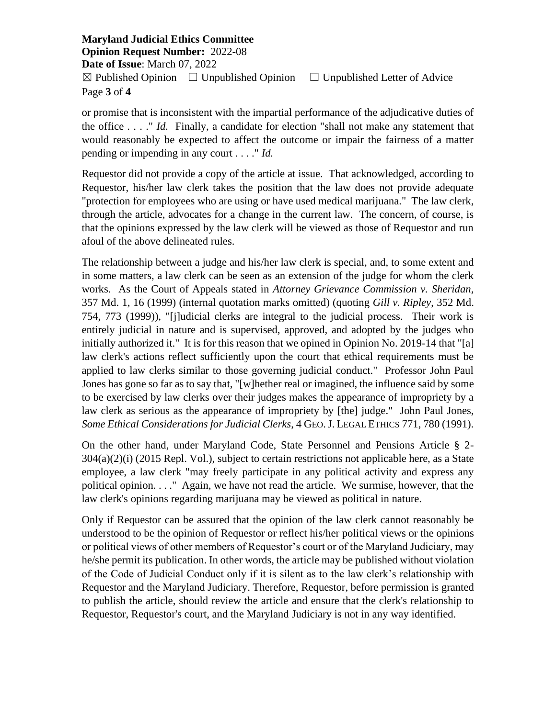**Maryland Judicial Ethics Committee Opinion Request Number:** 2022-08 **Date of Issue**: March 07, 2022  $\boxtimes$  Published Opinion  $\Box$  Unpublished Opinion  $\Box$  Unpublished Letter of Advice Page **3** of **4**

or promise that is inconsistent with the impartial performance of the adjudicative duties of the office . . . ." *Id.* Finally, a candidate for election "shall not make any statement that would reasonably be expected to affect the outcome or impair the fairness of a matter pending or impending in any court . . . ." *Id.*

Requestor did not provide a copy of the article at issue. That acknowledged, according to Requestor, his/her law clerk takes the position that the law does not provide adequate "protection for employees who are using or have used medical marijuana." The law clerk, through the article, advocates for a change in the current law. The concern, of course, is that the opinions expressed by the law clerk will be viewed as those of Requestor and run afoul of the above delineated rules.

The relationship between a judge and his/her law clerk is special, and, to some extent and in some matters, a law clerk can be seen as an extension of the judge for whom the clerk works. As the Court of Appeals stated in *Attorney Grievance Commission v. Sheridan,*  357 Md. 1, 16 (1999) (internal quotation marks omitted) (quoting *Gill v. Ripley*, 352 Md. 754, 773 (1999)), "[j]udicial clerks are integral to the judicial process. Their work is entirely judicial in nature and is supervised, approved, and adopted by the judges who initially authorized it." It is for this reason that we opined in Opinion No. 2019-14 that "[a] law clerk's actions reflect sufficiently upon the court that ethical requirements must be applied to law clerks similar to those governing judicial conduct." Professor John Paul Jones has gone so far as to say that, "[w]hether real or imagined, the influence said by some to be exercised by law clerks over their judges makes the appearance of impropriety by a law clerk as serious as the appearance of impropriety by [the] judge." John Paul Jones, *Some Ethical Considerations for Judicial Clerks*, 4 GEO.J. LEGAL ETHICS 771, 780 (1991).

On the other hand, under Maryland Code, State Personnel and Pensions Article § 2- 304(a)(2)(i) (2015 Repl. Vol.), subject to certain restrictions not applicable here, as a State employee, a law clerk "may freely participate in any political activity and express any political opinion. . . ." Again, we have not read the article. We surmise, however, that the law clerk's opinions regarding marijuana may be viewed as political in nature.

Only if Requestor can be assured that the opinion of the law clerk cannot reasonably be understood to be the opinion of Requestor or reflect his/her political views or the opinions or political views of other members of Requestor's court or of the Maryland Judiciary, may he/she permit its publication. In other words, the article may be published without violation of the Code of Judicial Conduct only if it is silent as to the law clerk's relationship with Requestor and the Maryland Judiciary. Therefore, Requestor, before permission is granted to publish the article, should review the article and ensure that the clerk's relationship to Requestor, Requestor's court, and the Maryland Judiciary is not in any way identified.